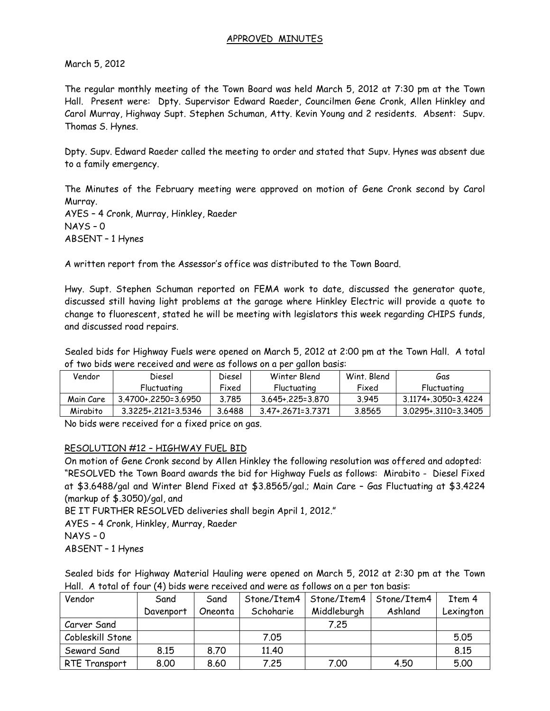### APPROVED MINUTES

### March 5, 2012

The regular monthly meeting of the Town Board was held March 5, 2012 at 7:30 pm at the Town Hall. Present were: Dpty. Supervisor Edward Raeder, Councilmen Gene Cronk, Allen Hinkley and Carol Murray, Highway Supt. Stephen Schuman, Atty. Kevin Young and 2 residents. Absent: Supv. Thomas S. Hynes.

Dpty. Supv. Edward Raeder called the meeting to order and stated that Supv. Hynes was absent due to a family emergency.

The Minutes of the February meeting were approved on motion of Gene Cronk second by Carol Murray.

AYES – 4 Cronk, Murray, Hinkley, Raeder NAYS – 0 ABSENT – 1 Hynes

A written report from the Assessor's office was distributed to the Town Board.

Hwy. Supt. Stephen Schuman reported on FEMA work to date, discussed the generator quote, discussed still having light problems at the garage where Hinkley Electric will provide a quote to change to fluorescent, stated he will be meeting with legislators this week regarding CHIPS funds, and discussed road repairs.

Sealed bids for Highway Fuels were opened on March 5, 2012 at 2:00 pm at the Town Hall. A total of two bids were received and were as follows on a per gallon basis:

| Vendor    | Diesel              | Diesel | Winter Blend          | Wint, Blend | Gas                 |
|-----------|---------------------|--------|-----------------------|-------------|---------------------|
|           | Fluctuating         | Fixed  | Fluctuating           | Fixed       | Fluctuating         |
| Main Care | 3.4700+.2250=3.6950 | 3.785  | $3.645 + 225 = 3.870$ | 3.945       | 3.1174+.3050=3.4224 |
| Mirabito  | 3.3225+.2121=3.5346 | 3.6488 | 3.47 + 2671 = 3.7371  | 3.8565      | 3.0295+.3110=3.3405 |

No bids were received for a fixed price on gas.

# RESOLUTION #12 – HIGHWAY FUEL BID

On motion of Gene Cronk second by Allen Hinkley the following resolution was offered and adopted: "RESOLVED the Town Board awards the bid for Highway Fuels as follows: Mirabito - Diesel Fixed at \$3.6488/gal and Winter Blend Fixed at \$3.8565/gal.; Main Care – Gas Fluctuating at \$3.4224 (markup of \$.3050)/gal, and

BE IT FURTHER RESOLVED deliveries shall begin April 1, 2012."

AYES – 4 Cronk, Hinkley, Murray, Raeder

 $NAYS - 0$ 

ABSENT – 1 Hynes

Sealed bids for Highway Material Hauling were opened on March 5, 2012 at 2:30 pm at the Town Hall. A total of four (4) bids were received and were as follows on a per ton basis:

| Vendor           | Sand      | Sand    | Stone/Item4 | Stone/Item4 | Stone/Item4 | Item 4    |
|------------------|-----------|---------|-------------|-------------|-------------|-----------|
|                  | Davenport | Oneonta | Schoharie   | Middleburgh | Ashland     | Lexington |
| Carver Sand      |           |         |             | 7.25        |             |           |
| Cobleskill Stone |           |         | 7.05        |             |             | 5.05      |
| Seward Sand      | 8.15      | 8.70    | 11.40       |             |             | 8.15      |
| RTE Transport    | 8.00      | 8.60    | 7.25        | 7.00        | 4.50        | 5.00      |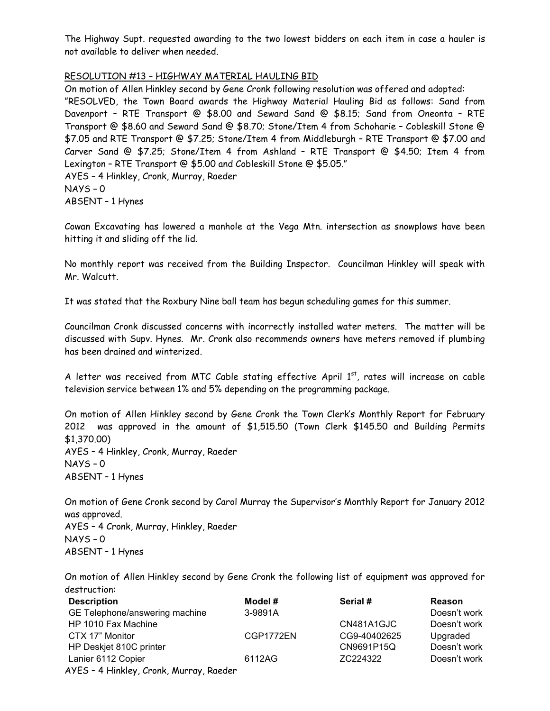The Highway Supt. requested awarding to the two lowest bidders on each item in case a hauler is not available to deliver when needed.

# RESOLUTION #13 – HIGHWAY MATERIAL HAULING BID

On motion of Allen Hinkley second by Gene Cronk following resolution was offered and adopted: "RESOLVED, the Town Board awards the Highway Material Hauling Bid as follows: Sand from Davenport – RTE Transport @ \$8.00 and Seward Sand @ \$8.15; Sand from Oneonta – RTE Transport @ \$8.60 and Seward Sand @ \$8.70; Stone/Item 4 from Schoharie – Cobleskill Stone @ \$7.05 and RTE Transport @ \$7.25; Stone/Item 4 from Middleburgh – RTE Transport @ \$7.00 and Carver Sand @ \$7.25; Stone/Item 4 from Ashland – RTE Transport @ \$4.50; Item 4 from Lexington – RTE Transport @ \$5.00 and Cobleskill Stone @ \$5.05." AYES – 4 Hinkley, Cronk, Murray, Raeder NAYS – 0 ABSENT – 1 Hynes

Cowan Excavating has lowered a manhole at the Vega Mtn. intersection as snowplows have been hitting it and sliding off the lid.

No monthly report was received from the Building Inspector. Councilman Hinkley will speak with Mr. Walcutt.

It was stated that the Roxbury Nine ball team has begun scheduling games for this summer.

Councilman Cronk discussed concerns with incorrectly installed water meters. The matter will be discussed with Supv. Hynes. Mr. Cronk also recommends owners have meters removed if plumbing has been drained and winterized.

A letter was received from MTC Cable stating effective April 1st, rates will increase on cable television service between 1% and 5% depending on the programming package.

On motion of Allen Hinkley second by Gene Cronk the Town Clerk's Monthly Report for February 2012 was approved in the amount of \$1,515.50 (Town Clerk \$145.50 and Building Permits \$1,370.00) AYES – 4 Hinkley, Cronk, Murray, Raeder NAYS – 0 ABSENT – 1 Hynes

On motion of Gene Cronk second by Carol Murray the Supervisor's Monthly Report for January 2012 was approved. AYES – 4 Cronk, Murray, Hinkley, Raeder NAYS – 0 ABSENT – 1 Hynes

On motion of Allen Hinkley second by Gene Cronk the following list of equipment was approved for destruction:

| <b>Description</b>                      | Model #   | Serial #     | <b>Reason</b> |
|-----------------------------------------|-----------|--------------|---------------|
| GE Telephone/answering machine          | 3-9891A   |              | Doesn't work  |
| HP 1010 Fax Machine                     |           | CN481A1GJC   | Doesn't work  |
| CTX 17" Monitor                         | CGP1772EN | CG9-40402625 | Upgraded      |
| HP Deskiet 810C printer                 |           | CN9691P15Q   | Doesn't work  |
| Lanier 6112 Copier                      | 6112AG    | ZC224322     | Doesn't work  |
| AYES - 4 Hinkley, Cronk, Murray, Raeder |           |              |               |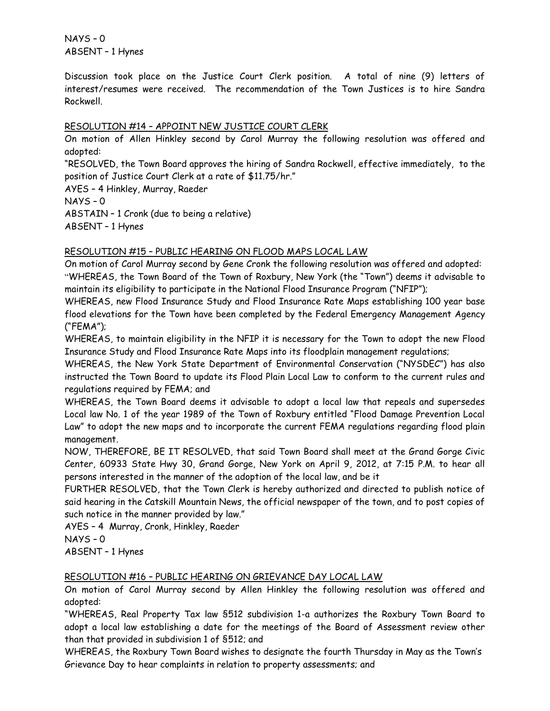NAYS – 0 ABSENT – 1 Hynes

Discussion took place on the Justice Court Clerk position. A total of nine (9) letters of interest/resumes were received. The recommendation of the Town Justices is to hire Sandra Rockwell.

### RESOLUTION #14 – APPOINT NEW JUSTICE COURT CLERK

On motion of Allen Hinkley second by Carol Murray the following resolution was offered and adopted:

"RESOLVED, the Town Board approves the hiring of Sandra Rockwell, effective immediately, to the position of Justice Court Clerk at a rate of \$11.75/hr."

AYES – 4 Hinkley, Murray, Raeder

NAYS – 0

ABSTAIN – 1 Cronk (due to being a relative)

ABSENT – 1 Hynes

# RESOLUTION #15 – PUBLIC HEARING ON FLOOD MAPS LOCAL LAW

On motion of Carol Murray second by Gene Cronk the following resolution was offered and adopted: "WHEREAS, the Town Board of the Town of Roxbury, New York (the "Town") deems it advisable to maintain its eligibility to participate in the National Flood Insurance Program ("NFIP");

WHEREAS, new Flood Insurance Study and Flood Insurance Rate Maps establishing 100 year base flood elevations for the Town have been completed by the Federal Emergency Management Agency ("FEMA");

WHEREAS, to maintain eligibility in the NFIP it is necessary for the Town to adopt the new Flood Insurance Study and Flood Insurance Rate Maps into its floodplain management regulations;

WHEREAS, the New York State Department of Environmental Conservation ("NYSDEC") has also instructed the Town Board to update its Flood Plain Local Law to conform to the current rules and regulations required by FEMA; and

WHEREAS, the Town Board deems it advisable to adopt a local law that repeals and supersedes Local law No. 1 of the year 1989 of the Town of Roxbury entitled "Flood Damage Prevention Local Law" to adopt the new maps and to incorporate the current FEMA regulations regarding flood plain management.

NOW, THEREFORE, BE IT RESOLVED, that said Town Board shall meet at the Grand Gorge Civic Center, 60933 State Hwy 30, Grand Gorge, New York on April 9, 2012, at 7:15 P.M. to hear all persons interested in the manner of the adoption of the local law, and be it

FURTHER RESOLVED, that the Town Clerk is hereby authorized and directed to publish notice of said hearing in the Catskill Mountain News, the official newspaper of the town, and to post copies of such notice in the manner provided by law."

AYES – 4 Murray, Cronk, Hinkley, Raeder

NAYS – 0

ABSENT – 1 Hynes

# RESOLUTION #16 – PUBLIC HEARING ON GRIEVANCE DAY LOCAL LAW

On motion of Carol Murray second by Allen Hinkley the following resolution was offered and adopted:

"WHEREAS, Real Property Tax law §512 subdivision 1-a authorizes the Roxbury Town Board to adopt a local law establishing a date for the meetings of the Board of Assessment review other than that provided in subdivision 1 of §512; and

WHEREAS, the Roxbury Town Board wishes to designate the fourth Thursday in May as the Town's Grievance Day to hear complaints in relation to property assessments; and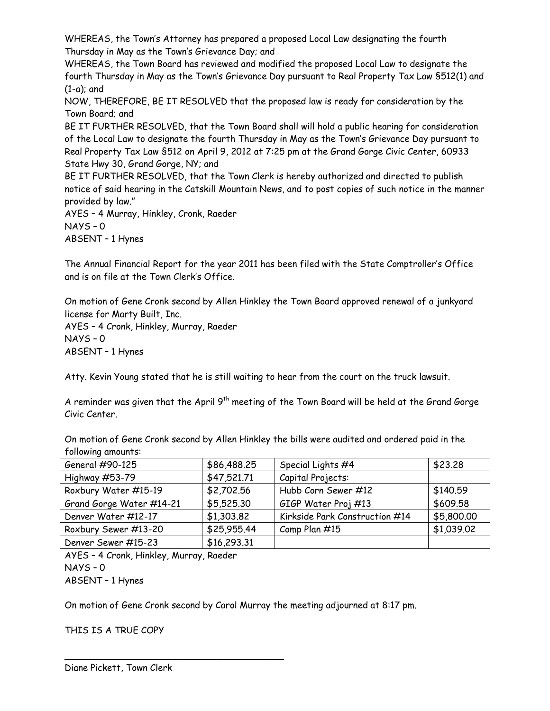WHEREAS, the Town's Attorney has prepared a proposed Local Law designating the fourth Thursday in May as the Town's Grievance Day; and

WHEREAS, the Town Board has reviewed and modified the proposed Local Law to designate the fourth Thursday in May as the Town's Grievance Day pursuant to Real Property Tax Law §512(1) and (1-a); and

NOW, THEREFORE, BE IT RESOLVED that the proposed law is ready for consideration by the Town Board; and

BE IT FURTHER RESOLVED, that the Town Board shall will hold a public hearing for consideration of the Local Law to designate the fourth Thursday in May as the Town's Grievance Day pursuant to Real Property Tax Law §512 on April 9, 2012 at 7:25 pm at the Grand Gorge Civic Center, 60933 State Hwy 30, Grand Gorge, NY; and

BE IT FURTHER RESOLVED, that the Town Clerk is hereby authorized and directed to publish notice of said hearing in the Catskill Mountain News, and to post copies of such notice in the manner provided by law."

AYES – 4 Murray, Hinkley, Cronk, Raeder NAYS – 0 ABSENT – 1 Hynes

The Annual Financial Report for the year 2011 has been filed with the State Comptroller's Office and is on file at the Town Clerk's Office.

On motion of Gene Cronk second by Allen Hinkley the Town Board approved renewal of a junkyard license for Marty Built, Inc. AYES – 4 Cronk, Hinkley, Murray, Raeder NAYS – 0 ABSENT – 1 Hynes

Atty. Kevin Young stated that he is still waiting to hear from the court on the truck lawsuit.

A reminder was given that the April  $9<sup>th</sup>$  meeting of the Town Board will be held at the Grand Gorge Civic Center.

On motion of Gene Cronk second by Allen Hinkley the bills were audited and ordered paid in the following amounts:

| General #90-125          | \$86,488.25 | Special Lights #4              | \$23.28    |
|--------------------------|-------------|--------------------------------|------------|
| Highway #53-79           | \$47,521.71 | Capital Projects:              |            |
| Roxbury Water #15-19     | \$2,702.56  | Hubb Corn Sewer #12            | \$140.59   |
| Grand Gorge Water #14-21 | \$5,525.30  | GIGP Water Proj #13            | \$609.58   |
| Denver Water #12-17      | \$1,303.82  | Kirkside Park Construction #14 | \$5,800.00 |
| Roxbury Sewer #13-20     | \$25,955.44 | Comp Plan #15                  | \$1,039.02 |
| Denver Sewer #15-23      | \$16,293.31 |                                |            |

AYES – 4 Cronk, Hinkley, Murray, Raeder NAYS – 0 ABSENT – 1 Hynes

\_\_\_\_\_\_\_\_\_\_\_\_\_\_\_\_\_\_\_\_\_\_\_\_\_\_\_\_\_\_\_\_\_\_\_\_\_\_\_

On motion of Gene Cronk second by Carol Murray the meeting adjourned at 8:17 pm.

THIS IS A TRUE COPY